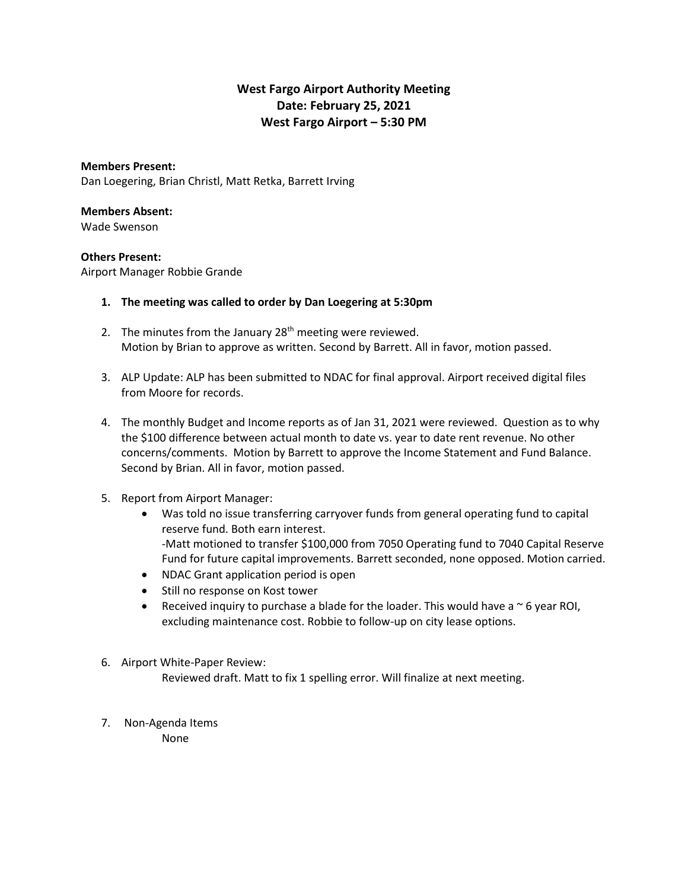## **West Fargo Airport Authority Meeting Date: February 25, 2021 West Fargo Airport – 5:30 PM**

**Members Present:** Dan Loegering, Brian Christl, Matt Retka, Barrett Irving

## **Members Absent:**

Wade Swenson

## **Others Present:**

Airport Manager Robbie Grande

## **1. The meeting was called to order by Dan Loegering at 5:30pm**

- 2. The minutes from the January  $28<sup>th</sup>$  meeting were reviewed. Motion by Brian to approve as written. Second by Barrett. All in favor, motion passed.
- 3. ALP Update: ALP has been submitted to NDAC for final approval. Airport received digital files from Moore for records.
- 4. The monthly Budget and Income reports as of Jan 31, 2021 were reviewed. Question as to why the \$100 difference between actual month to date vs. year to date rent revenue. No other concerns/comments. Motion by Barrett to approve the Income Statement and Fund Balance. Second by Brian. All in favor, motion passed.
- 5. Report from Airport Manager:
	- Was told no issue transferring carryover funds from general operating fund to capital reserve fund. Both earn interest. -Matt motioned to transfer \$100,000 from 7050 Operating fund to 7040 Capital Reserve Fund for future capital improvements. Barrett seconded, none opposed. Motion carried.
	- NDAC Grant application period is open
	- Still no response on Kost tower
	- Received inquiry to purchase a blade for the loader. This would have a  $\sim$  6 year ROI, excluding maintenance cost. Robbie to follow-up on city lease options.
- 6. Airport White-Paper Review: Reviewed draft. Matt to fix 1 spelling error. Will finalize at next meeting.
- 7. Non-Agenda Items None